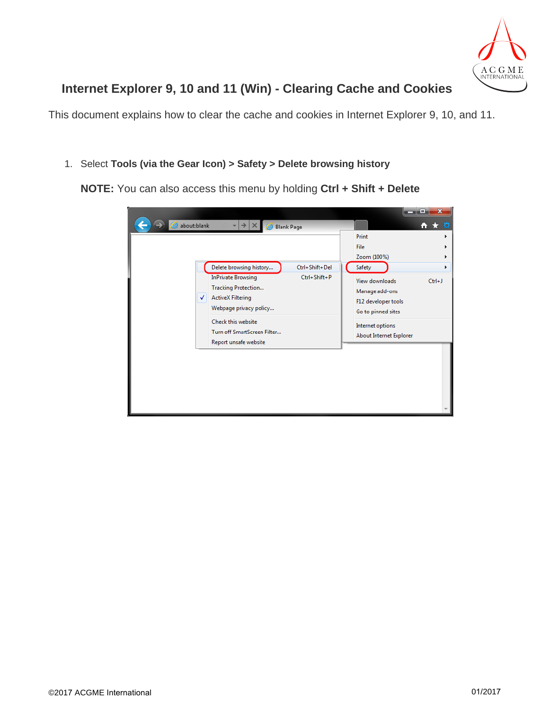

## **Internet Explorer 9, 10 and 11 (Win) - Clearing Cache and Cookies**

This document explains how to clear the cache and cookies in Internet Explorer 9, 10, and 11.

1. Select **Tools (via the Gear Icon) > Safety > Delete browsing history**

**NOTE:** You can also access this menu by holding **Ctrl + Shift + Delete**

|                  |                                                                                                               |                |                                                                               | $\mathbf x$<br>▣ |
|------------------|---------------------------------------------------------------------------------------------------------------|----------------|-------------------------------------------------------------------------------|------------------|
| about:blank<br>⊜ | Blank Page                                                                                                    |                |                                                                               | ЕQ<br>n<br>- 73  |
|                  |                                                                                                               |                | Print                                                                         |                  |
|                  |                                                                                                               |                | File                                                                          |                  |
|                  |                                                                                                               |                | Zoom (100%)                                                                   |                  |
|                  | Delete browsing history                                                                                       | Ctrl+Shift+Del | Safety                                                                        |                  |
| √                | <b>InPrivate Browsing</b><br><b>Tracking Protection</b><br><b>ActiveX Filtering</b><br>Webpage privacy policy | Ctrl+Shift+P   | View downloads<br>Manage add-ons<br>F12 developer tools<br>Go to pinned sites | $Ctrl + J$       |
|                  | Check this website<br>Turn off SmartScreen Filter<br>Report unsafe website                                    |                | <b>Internet options</b><br>About Internet Explorer                            |                  |
|                  |                                                                                                               |                |                                                                               |                  |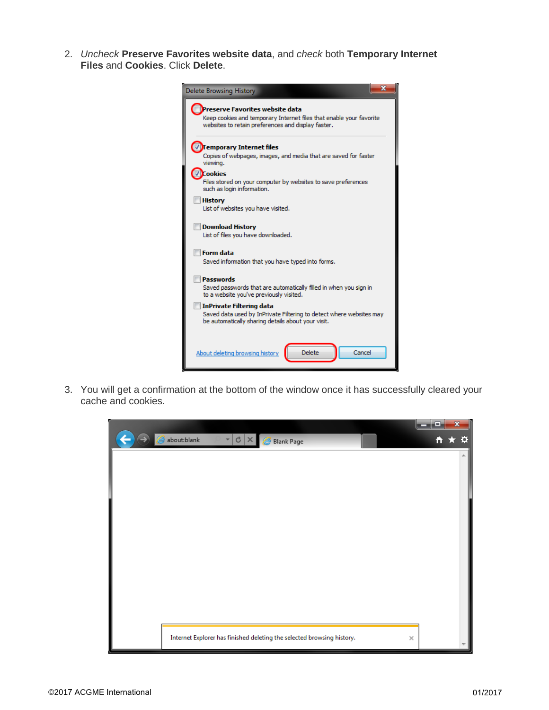2. *Uncheck* **Preserve Favorites website data**, and *check* both **Temporary Internet Files** and **Cookies**. Click **Delete**.



3. You will get a confirmation at the bottom of the window once it has successfully cleared your cache and cookies.

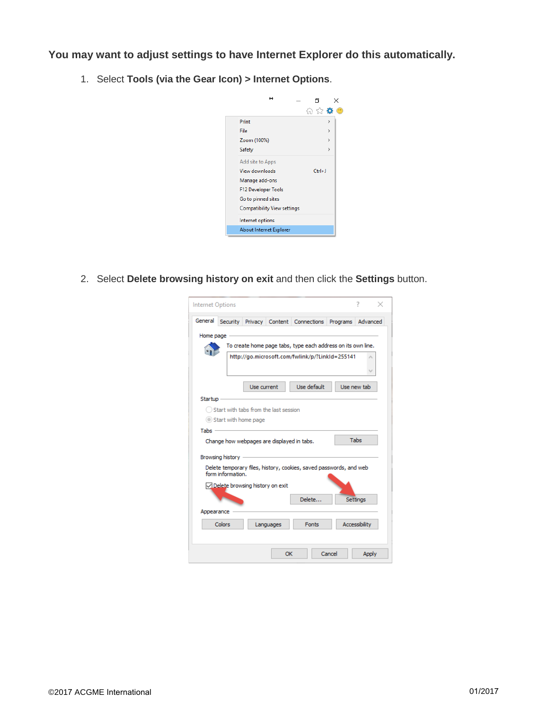**You may want to adjust settings to have Internet Explorer do this automatically.**

1. Select **Tools (via the Gear Icon) > Internet Options**.



2. Select **Delete browsing history on exit** and then click the **Settings** button.

| Internet Options |                                                               |             |           |                                                                    |          | 7                    |
|------------------|---------------------------------------------------------------|-------------|-----------|--------------------------------------------------------------------|----------|----------------------|
| General          | Security                                                      | Privacy     |           | Content Connections                                                | Programs | Advanced             |
| Home page        |                                                               |             |           | To create home page tabs, type each address on its own line.       |          |                      |
|                  |                                                               |             |           | http://go.microsoft.com/fwlink/p/?LinkId=255141                    |          |                      |
|                  |                                                               | Use current |           | Use default                                                        |          | Use new tab          |
| Startup          |                                                               |             |           |                                                                    |          |                      |
| Tabs             | Start with tabs from the last session<br>Start with home page |             |           |                                                                    |          |                      |
|                  | Change how webpages are displayed in tabs.                    |             |           |                                                                    |          | Tabs                 |
|                  | Browsing history<br>form information.                         |             |           | Delete temporary files, history, cookies, saved passwords, and web |          |                      |
|                  | ○ Delete browsing history on exit                             |             |           | Delete                                                             |          | <b>Settings</b>      |
| Appearance       |                                                               |             |           |                                                                    |          |                      |
|                  | Colors                                                        |             | Languages | <b>Fonts</b>                                                       |          | <b>Accessibility</b> |
|                  |                                                               |             | OK        |                                                                    | Cancel   | <b>Apply</b>         |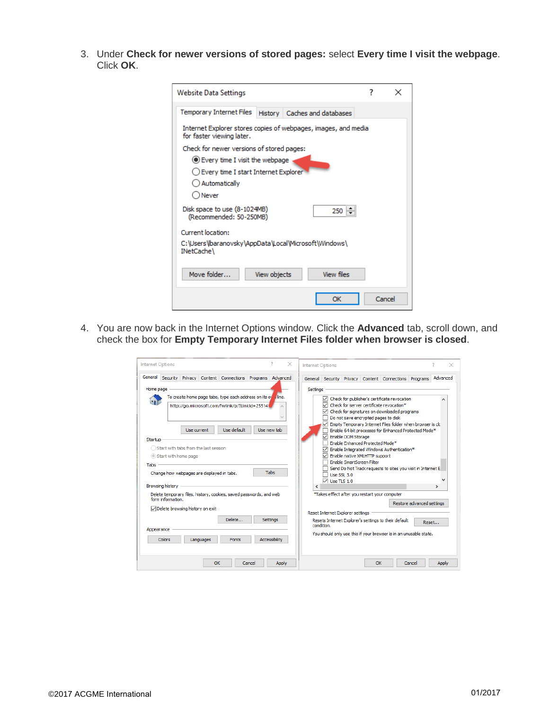3. Under **Check for newer versions of stored pages:** select **Every time I visit the webpage**. Click **OK**.

| Website Data Settings                                                                       | 7      |  |
|---------------------------------------------------------------------------------------------|--------|--|
| Temporary Internet Files<br>History   Caches and databases                                  |        |  |
| Internet Explorer stores copies of webpages, images, and media<br>for faster viewing later. |        |  |
| Check for newer versions of stored pages:                                                   |        |  |
| ● Every time I visit the webpage                                                            |        |  |
| Every time I start Internet Explorer                                                        |        |  |
| ◯ Automatically                                                                             |        |  |
| ○ Never                                                                                     |        |  |
| Disk space to use (8-1024MB)<br>250<br>(Recommended: 50-250MB)                              |        |  |
| Current location:                                                                           |        |  |
| C:\Users\baranovsky\AppData\Local\Microsoft\Windows\<br>INetCache\                          |        |  |
| Move folder<br>View files<br>View objects                                                   |        |  |
| ОК                                                                                          | Cancel |  |

4. You are now back in the Internet Options window. Click the **Advanced** tab, scroll down, and check the box for **Empty Temporary Internet Files folder when browser is closed**.

| General         |                                                                |             |                                                                                     | Security Privacy Content Connections Programs Advanced                                                                   |                                  |            |                                                             |                    |                                                                                               | General Security Privacy Content Connections                                                                                                                                                                                                                                                                                                                                                                   | Programs                  | Advanced      |
|-----------------|----------------------------------------------------------------|-------------|-------------------------------------------------------------------------------------|--------------------------------------------------------------------------------------------------------------------------|----------------------------------|------------|-------------------------------------------------------------|--------------------|-----------------------------------------------------------------------------------------------|----------------------------------------------------------------------------------------------------------------------------------------------------------------------------------------------------------------------------------------------------------------------------------------------------------------------------------------------------------------------------------------------------------------|---------------------------|---------------|
| Home page       |                                                                |             |                                                                                     |                                                                                                                          |                                  | Settings   |                                                             |                    |                                                                                               |                                                                                                                                                                                                                                                                                                                                                                                                                |                           |               |
| Startup<br>Tabs | Start with home page<br><b>Browsing history</b>                | Use current | Start with tabs from the last session<br>Change how webpages are displayed in tabs. | To create home page tabs, type each address on its ov<br>http://go.microsoft.com/fwlink/p/?LinkId=255141<br>Use default. | Tine.<br>Use new tab<br>Tabs     | $\epsilon$ | ∨<br>∨<br>∨<br><b>Use SSL 3.0</b><br>$\sqrt{ }$ Use TLS 1.0 | Enable DOM Storage | Enable Enhanced Protected Mode*<br>Enable native XMLHTTP support<br>Enable SmartScreen Filter | Check for publisher's certificate revocation<br>Check for server certificate revocation*<br>Check for signatures on downloaded programs<br>Do not save encrypted pages to disk<br>Empty Temporary Internet Files folder when browser is ck<br>Enable 64-bit processes for Enhanced Protected Mode*<br>Enable Integrated Windows Authentication*<br>Send Do Not Track requests to sites you visit in Internet E |                           | $\mathcal{P}$ |
| Appearance      | form information.<br>Delete browsing history on exit<br>Colors |             | Languages                                                                           | Delete temporary files, history, cookies, saved passwords, and web<br>Delete<br>Fonts                                    | <b>Settings</b><br>Accessibility |            | Reset Internet Explorer settings<br>condition.              |                    |                                                                                               | *Takes effect after you restart your computer<br>Resets Internet Explorer's settings to their default<br>You should only use this if your browser is in an unusable state.                                                                                                                                                                                                                                     | Restore advanced settings | Reset         |